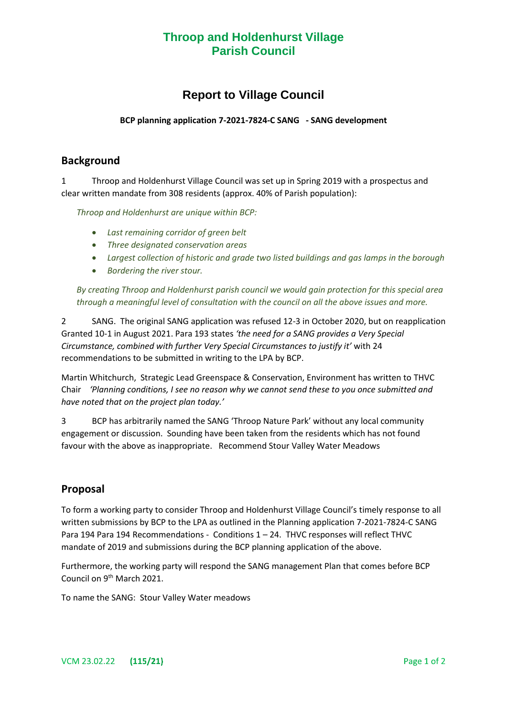## **Throop and Holdenhurst Village Parish Council**

# **Report to Village Council**

#### **BCP planning application 7-2021-7824-C SANG - SANG development**

### **Background**

1 Throop and Holdenhurst Village Council was set up in Spring 2019 with a prospectus and clear written mandate from 308 residents (approx. 40% of Parish population):

*Throop and Holdenhurst are unique within BCP:* 

- *Last remaining corridor of green belt*
- *Three designated conservation areas*
- *Largest collection of historic and grade two listed buildings and gas lamps in the borough*
- *Bordering the river stour.*

*By creating Throop and Holdenhurst parish council we would gain protection for this special area through a meaningful level of consultation with the council on all the above issues and more.*

2 SANG. The original SANG application was refused 12-3 in October 2020, but on reapplication Granted 10-1 in August 2021. Para 193 states *'the need for a SANG provides a Very Special Circumstance, combined with further Very Special Circumstances to justify it'* with 24 recommendations to be submitted in writing to the LPA by BCP.

Martin Whitchurch, Strategic Lead Greenspace & Conservation, Environment has written to THVC Chair *'Planning conditions, I see no reason why we cannot send these to you once submitted and have noted that on the project plan today.'*

3 BCP has arbitrarily named the SANG 'Throop Nature Park' without any local community engagement or discussion. Sounding have been taken from the residents which has not found favour with the above as inappropriate. Recommend Stour Valley Water Meadows

### **Proposal**

To form a working party to consider Throop and Holdenhurst Village Council's timely response to all written submissions by BCP to the LPA as outlined in the Planning application 7-2021-7824-C SANG Para 194 Para 194 Recommendations - Conditions 1 – 24. THVC responses will reflect THVC mandate of 2019 and submissions during the BCP planning application of the above.

Furthermore, the working party will respond the SANG management Plan that comes before BCP Council on 9<sup>th</sup> March 2021.

To name the SANG: Stour Valley Water meadows